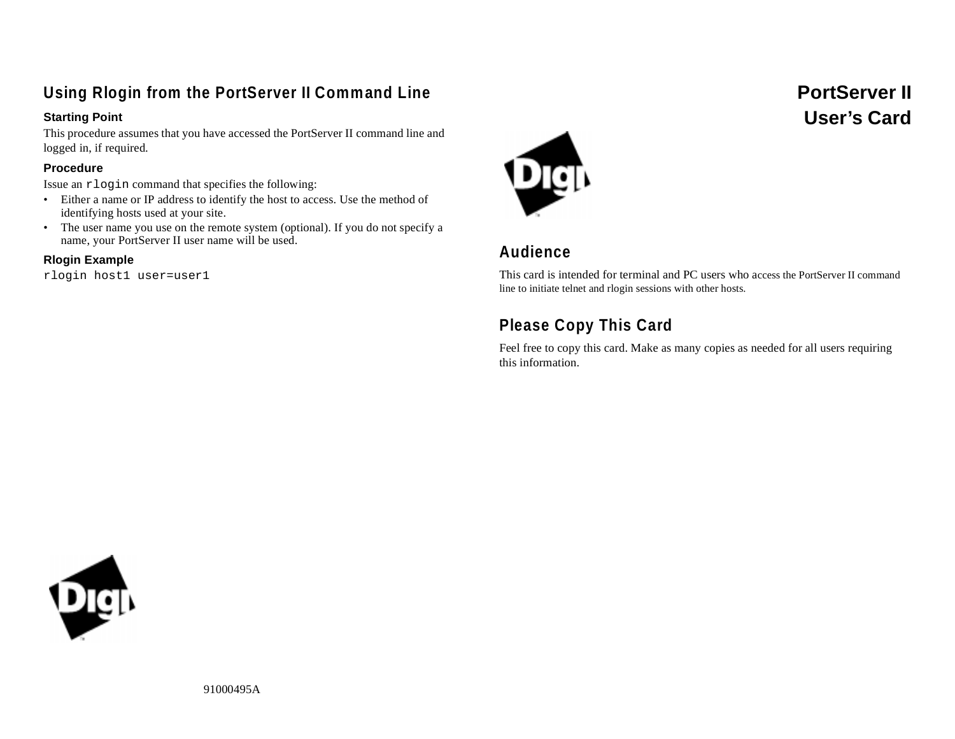## **Using Rlogin from the PortServer II Command Line**

#### **Starting Point**

This procedure assumes that you have accessed the PortServer II command line and logged in, if required.

#### **Procedure**

Issue an rlogin command that specifies the following:

- Either a name or IP address to identify the host to access. Use the method of identifying hosts used at your site.
- The user name you use on the remote system (optional). If you do not specify a name, your PortServer II user name will be used.

### **Rlogin Example**

rlogin host1 user=user1



## **Audience**

This card is intended for terminal and PC users who access the PortServer II command line to initiate telnet and rlogin sessions with other hosts.

## **Please Copy This Card**

Feel free to copy this card. Make as many copies as needed for all users requiring this information.



 **PortServer II User's Card**